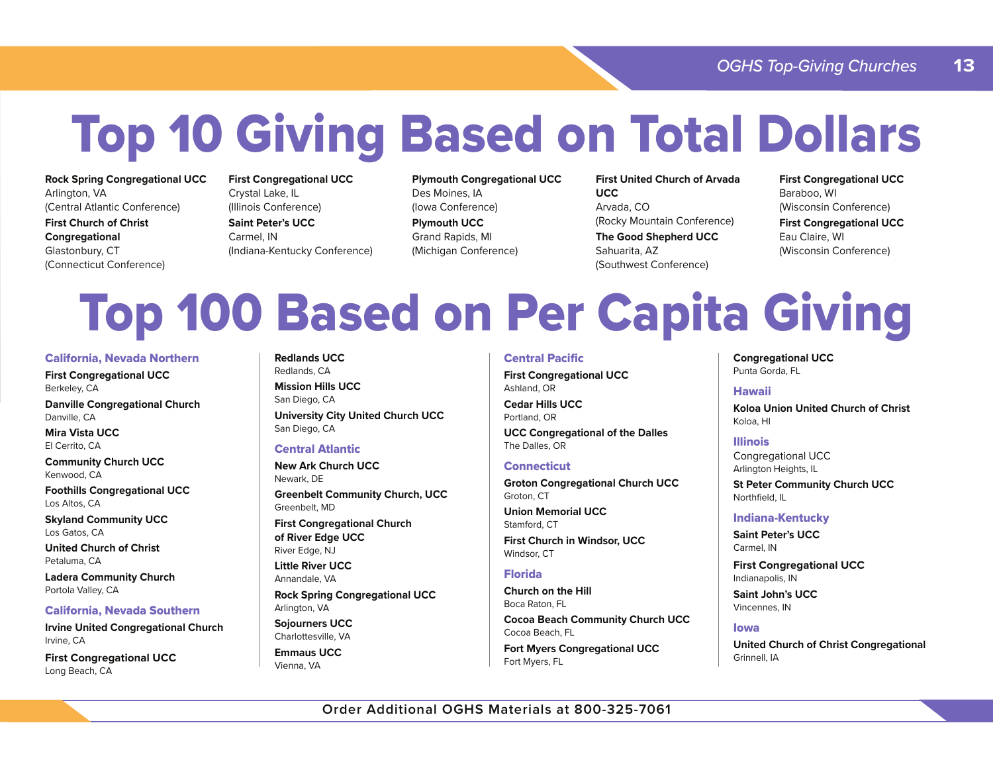# Top 10 Giving Based on Total Dollars

**Rock Spring Congregational UCC** Arlington, VA (Central Atlantic Conference)

**First Church of Christ Congregational**  Glastonbury, CT (Connecticut Conference) **First Congregational UCC** Crystal Lake, IL (Illinois Conference) **Saint Peter's UCC** 

Carmel, IN (Indiana-Kentucky Conference) **Plymouth Congregational UCC** Des Moines, IA (Iowa Conference) **Plymouth UCC** Grand Rapids, MI (Michigan Conference)

**First United Church of Arvada UCC**Arvada, CO (Rocky Mountain Conference) **The Good Shepherd UCC** Sahuarita, AZ (Southwest Conference)

**First Congregational UCC** Baraboo, WI (Wisconsin Conference) **First Congregational UCC**

(Wisconsin Conference)

Eau Claire, WI

## Top 100 Based on Per Capita Giving

#### California, Nevada Northern

**First Congregational UCC** Berkeley, CA

**Danville Congregational Church** Danville, CA

**Mira Vista UCC**El Cerrito, CA

**Community Church UCC** Kenwood, CA

**Foothills Congregational UCC** Los Altos, CA

**Skyland Community UCC** Los Gatos, CA

**United Church of Christ**Petaluma, CA

**Ladera Community Church** Portola Valley, CA

#### California, Nevada Southern

**Irvine United Congregational Church** Irvine, CA

**First Congregational UCC** Long Beach, CA

**Redlands UCC**Redlands, CA

**Mission Hills UCC**San Diego, CA **University City United Church UCC** San Diego, CA

#### Central Atlantic

**New Ark Church UCC**Newark, DE **Greenbelt Community Church, UCC** Greenbelt, MD

**First Congregational Church of River Edge UCC** River Edge, NJ

**Little River UCC**Annandale, VA

**Rock Spring Congregational UCC** Arlington, VA

**Sojourners UCC** Charlottesville, VA

**Emmaus UCC**Vienna, VA

#### Central Pacific

**First Congregational UCC** Ashland, OR

**Cedar Hills UCC**Portland, OR

**UCC Congregational of the Dalles** The Dalles, OR

#### **Connecticut**

**Groton Congregational Church UCC** Groton, CT

**Union Memorial UCC**Stamford, CT **First Church in Windsor, UCC** Windsor, CT

### Florida

**Church on the Hill**Boca Raton, FL

**Cocoa Beach Community Church UCC** Cocoa Beach, FL

**Fort Myers Congregational UCC** Fort Myers, FL

**Congregational UCC** Punta Gorda, FL

#### Hawaii

**Koloa Union United Church of Christ**Koloa, HI

#### Illinois

Congregational UCC Arlington Heights, IL

**St Peter Community Church UCC** Northfield, IL

#### Indiana-Kentucky

**Saint Peter's UCC**Carmel, IN

**First Congregational UCC** Indianapolis, IN

**Saint John's UCC**Vincennes, IN

#### Iowa

**United Church of Christ Congregational** Grinnell, IA

**Order Additional OGHS Materials at 800-325-7061**